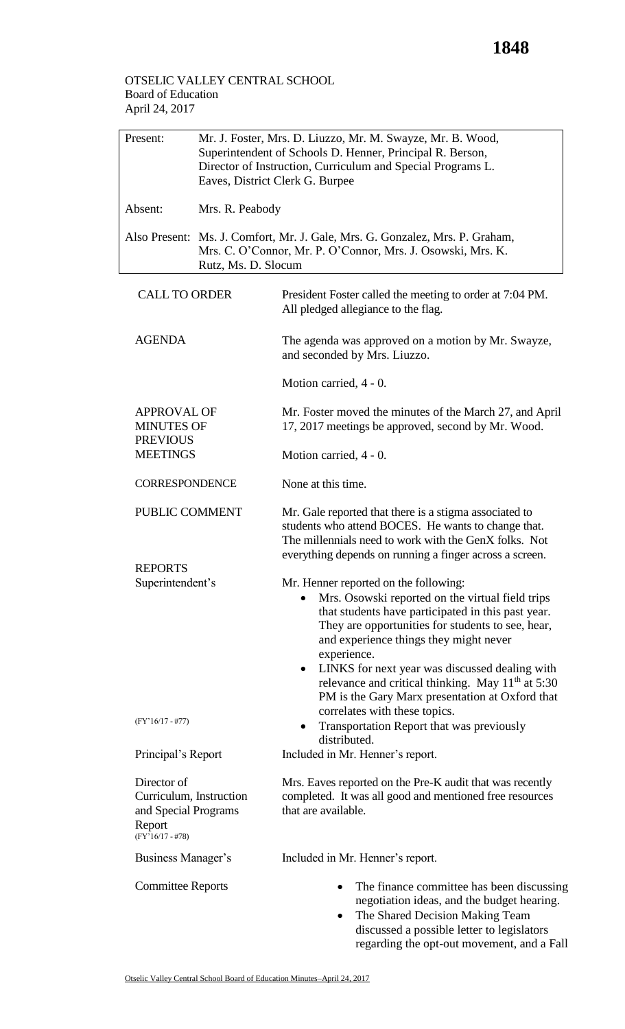## OTSELIC VALLEY CENTRAL SCHOOL Board of Education April 24, 2017

| Present:                                                                                       | Mr. J. Foster, Mrs. D. Liuzzo, Mr. M. Swayze, Mr. B. Wood,<br>Superintendent of Schools D. Henner, Principal R. Berson,<br>Director of Instruction, Curriculum and Special Programs L.<br>Eaves, District Clerk G. Burpee |                                                                                                                                                                                                                                                                                                                                                                                                                                                  |  |  |
|------------------------------------------------------------------------------------------------|---------------------------------------------------------------------------------------------------------------------------------------------------------------------------------------------------------------------------|--------------------------------------------------------------------------------------------------------------------------------------------------------------------------------------------------------------------------------------------------------------------------------------------------------------------------------------------------------------------------------------------------------------------------------------------------|--|--|
| Absent:                                                                                        | Mrs. R. Peabody                                                                                                                                                                                                           |                                                                                                                                                                                                                                                                                                                                                                                                                                                  |  |  |
|                                                                                                | Also Present: Ms. J. Comfort, Mr. J. Gale, Mrs. G. Gonzalez, Mrs. P. Graham,<br>Mrs. C. O'Connor, Mr. P. O'Connor, Mrs. J. Osowski, Mrs. K.<br>Rutz, Ms. D. Slocum                                                        |                                                                                                                                                                                                                                                                                                                                                                                                                                                  |  |  |
| <b>CALL TO ORDER</b>                                                                           |                                                                                                                                                                                                                           | President Foster called the meeting to order at 7:04 PM.<br>All pledged allegiance to the flag.                                                                                                                                                                                                                                                                                                                                                  |  |  |
| <b>AGENDA</b>                                                                                  |                                                                                                                                                                                                                           | The agenda was approved on a motion by Mr. Swayze,<br>and seconded by Mrs. Liuzzo.                                                                                                                                                                                                                                                                                                                                                               |  |  |
|                                                                                                |                                                                                                                                                                                                                           | Motion carried, 4 - 0.                                                                                                                                                                                                                                                                                                                                                                                                                           |  |  |
| <b>APPROVAL OF</b><br><b>MINUTES OF</b><br><b>PREVIOUS</b>                                     |                                                                                                                                                                                                                           | Mr. Foster moved the minutes of the March 27, and April<br>17, 2017 meetings be approved, second by Mr. Wood.                                                                                                                                                                                                                                                                                                                                    |  |  |
| <b>MEETINGS</b>                                                                                |                                                                                                                                                                                                                           | Motion carried, 4 - 0.                                                                                                                                                                                                                                                                                                                                                                                                                           |  |  |
| <b>CORRESPONDENCE</b>                                                                          |                                                                                                                                                                                                                           | None at this time.                                                                                                                                                                                                                                                                                                                                                                                                                               |  |  |
| PUBLIC COMMENT                                                                                 |                                                                                                                                                                                                                           | Mr. Gale reported that there is a stigma associated to<br>students who attend BOCES. He wants to change that.<br>The millennials need to work with the GenX folks. Not<br>everything depends on running a finger across a screen.                                                                                                                                                                                                                |  |  |
| <b>REPORTS</b>                                                                                 |                                                                                                                                                                                                                           |                                                                                                                                                                                                                                                                                                                                                                                                                                                  |  |  |
| Superintendent's                                                                               |                                                                                                                                                                                                                           | Mr. Henner reported on the following:<br>Mrs. Osowski reported on the virtual field trips<br>that students have participated in this past year.<br>They are opportunities for students to see, hear,<br>and experience things they might never<br>experience.<br>LINKS for next year was discussed dealing with<br>$\bullet$<br>relevance and critical thinking. May 11 <sup>th</sup> at 5:30<br>PM is the Gary Marx presentation at Oxford that |  |  |
| $(FY'16/17 - #77)$                                                                             |                                                                                                                                                                                                                           | correlates with these topics.<br>Transportation Report that was previously<br>٠<br>distributed.                                                                                                                                                                                                                                                                                                                                                  |  |  |
| Principal's Report                                                                             |                                                                                                                                                                                                                           | Included in Mr. Henner's report.                                                                                                                                                                                                                                                                                                                                                                                                                 |  |  |
| Director of<br>Curriculum, Instruction<br>and Special Programs<br>Report<br>$(FY'16/17 - #78)$ |                                                                                                                                                                                                                           | Mrs. Eaves reported on the Pre-K audit that was recently<br>completed. It was all good and mentioned free resources<br>that are available.                                                                                                                                                                                                                                                                                                       |  |  |
| Business Manager's                                                                             |                                                                                                                                                                                                                           | Included in Mr. Henner's report.                                                                                                                                                                                                                                                                                                                                                                                                                 |  |  |
| <b>Committee Reports</b>                                                                       |                                                                                                                                                                                                                           | The finance committee has been discussing<br>٠<br>negotiation ideas, and the budget hearing.<br>The Shared Decision Making Team<br>$\bullet$<br>discussed a possible letter to legislators<br>regarding the opt-out movement, and a Fall                                                                                                                                                                                                         |  |  |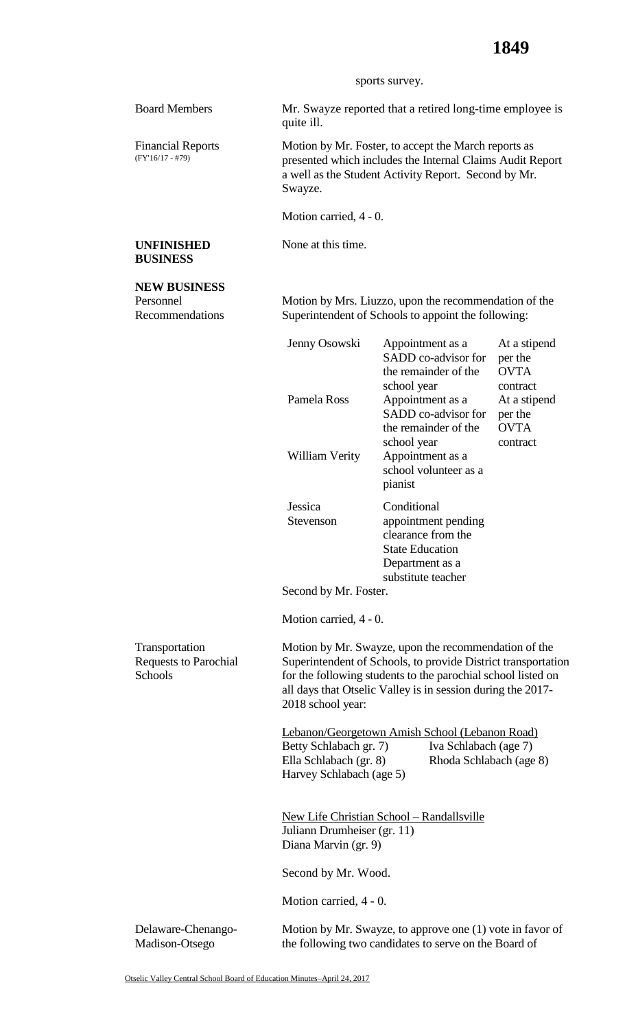## sports survey.

Board Members Mr. Swayze reported that a retired long-time employee is quite ill.

> Motion by Mr. Foster, to accept the March reports as presented which includes the Internal Claims Audit Report a well as the Student Activity Report. Second by Mr. Swayze.

Motion carried, 4 - 0.

None at this time.

## **UNFINISHED BUSINESS**

Financial Reports (FY'16/17 - #79)

## **NEW BUSINESS** Personnel

Recommendations

Motion by Mrs. Liuzzo, upon the recommendation of the Superintendent of Schools to appoint the following:

|                                                           | Jenny Osowski<br>Pamela Ross<br>William Verity                                                                                                                                                                                                                            | Appointment as a<br>SADD co-advisor for<br>the remainder of the<br>school year<br>Appointment as a<br>SADD co-advisor for<br>the remainder of the<br>school year<br>Appointment as a<br>school volunteer as a<br>pianist | At a stipend<br>per the<br><b>OVTA</b><br>contract<br>At a stipend<br>per the<br><b>OVTA</b><br>contract |  |
|-----------------------------------------------------------|---------------------------------------------------------------------------------------------------------------------------------------------------------------------------------------------------------------------------------------------------------------------------|--------------------------------------------------------------------------------------------------------------------------------------------------------------------------------------------------------------------------|----------------------------------------------------------------------------------------------------------|--|
|                                                           | Jessica<br>Stevenson<br>Second by Mr. Foster.                                                                                                                                                                                                                             | Conditional<br>appointment pending<br>clearance from the<br><b>State Education</b><br>Department as a<br>substitute teacher                                                                                              |                                                                                                          |  |
|                                                           | Motion carried, 4 - 0.                                                                                                                                                                                                                                                    |                                                                                                                                                                                                                          |                                                                                                          |  |
| Transportation<br><b>Requests to Parochial</b><br>Schools | Motion by Mr. Swayze, upon the recommendation of the<br>Superintendent of Schools, to provide District transportation<br>for the following students to the parochial school listed on<br>all days that Otselic Valley is in session during the 2017-<br>2018 school year: |                                                                                                                                                                                                                          |                                                                                                          |  |
|                                                           | Betty Schlabach gr. 7)<br>Ella Schlabach (gr. 8)<br>Harvey Schlabach (age 5)                                                                                                                                                                                              | Lebanon/Georgetown Amish School (Lebanon Road)<br>Iva Schlabach (age 7)<br>Rhoda Schlabach (age 8)                                                                                                                       |                                                                                                          |  |
|                                                           |                                                                                                                                                                                                                                                                           | New Life Christian School - Randallsville<br>Juliann Drumheiser (gr. 11)<br>Diana Marvin (gr. 9)                                                                                                                         |                                                                                                          |  |
|                                                           | Second by Mr. Wood.                                                                                                                                                                                                                                                       |                                                                                                                                                                                                                          |                                                                                                          |  |
|                                                           | Motion carried, 4 - 0.                                                                                                                                                                                                                                                    |                                                                                                                                                                                                                          |                                                                                                          |  |
| Delaware-Chenango-<br>Madison-Otsego                      |                                                                                                                                                                                                                                                                           | Motion by Mr. Swayze, to approve one (1) vote in favor of<br>the following two candidates to serve on the Board of                                                                                                       |                                                                                                          |  |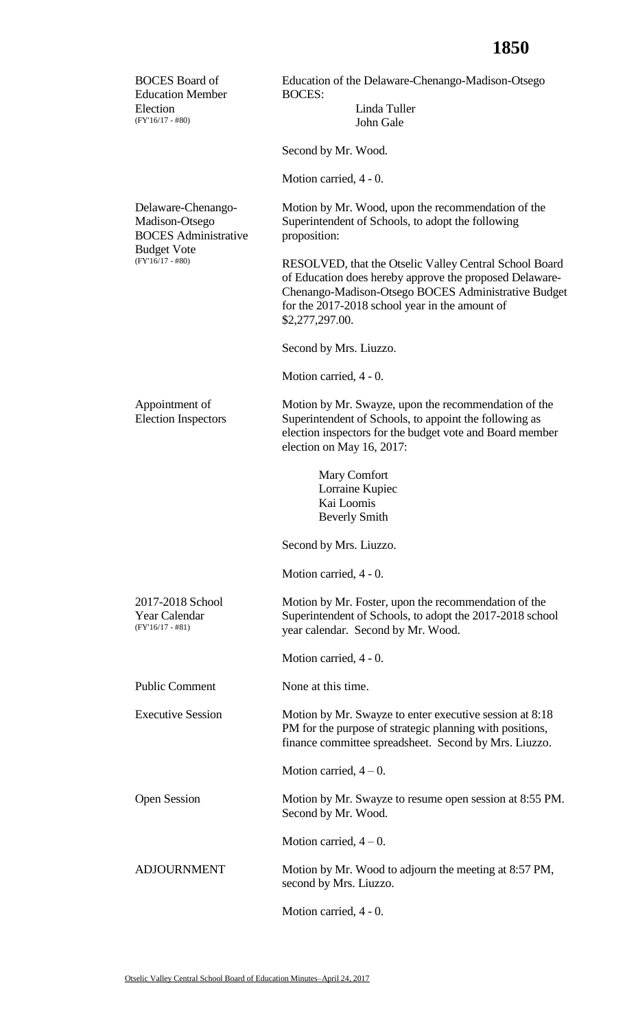| <b>BOCES</b> Board of<br><b>Education Member</b>                    | Education of the Delaware-Chenango-Madison-Otsego<br><b>BOCES:</b>                                                                                                                                                                            |  |  |
|---------------------------------------------------------------------|-----------------------------------------------------------------------------------------------------------------------------------------------------------------------------------------------------------------------------------------------|--|--|
| Election<br>$(FY'16/17 - #80)$                                      | Linda Tuller<br>John Gale                                                                                                                                                                                                                     |  |  |
|                                                                     | Second by Mr. Wood.                                                                                                                                                                                                                           |  |  |
|                                                                     | Motion carried, 4 - 0.                                                                                                                                                                                                                        |  |  |
| Delaware-Chenango-<br>Madison-Otsego<br><b>BOCES</b> Administrative | Motion by Mr. Wood, upon the recommendation of the<br>Superintendent of Schools, to adopt the following<br>proposition:                                                                                                                       |  |  |
| <b>Budget Vote</b><br>$(FY'16/17 - #80)$                            | RESOLVED, that the Otselic Valley Central School Board<br>of Education does hereby approve the proposed Delaware-<br>Chenango-Madison-Otsego BOCES Administrative Budget<br>for the 2017-2018 school year in the amount of<br>\$2,277,297.00. |  |  |
|                                                                     | Second by Mrs. Liuzzo.                                                                                                                                                                                                                        |  |  |
|                                                                     | Motion carried, 4 - 0.                                                                                                                                                                                                                        |  |  |
| Appointment of<br><b>Election Inspectors</b>                        | Motion by Mr. Swayze, upon the recommendation of the<br>Superintendent of Schools, to appoint the following as<br>election inspectors for the budget vote and Board member<br>election on May 16, 2017:                                       |  |  |
|                                                                     | Mary Comfort<br>Lorraine Kupiec<br>Kai Loomis<br><b>Beverly Smith</b>                                                                                                                                                                         |  |  |
|                                                                     | Second by Mrs. Liuzzo.                                                                                                                                                                                                                        |  |  |
|                                                                     | Motion carried, 4 - 0.                                                                                                                                                                                                                        |  |  |
| 2017-2018 School<br>Year Calendar<br>$(FY'16/17 - #81)$             | Motion by Mr. Foster, upon the recommendation of the<br>Superintendent of Schools, to adopt the 2017-2018 school<br>year calendar. Second by Mr. Wood.                                                                                        |  |  |
|                                                                     | Motion carried, 4 - 0.                                                                                                                                                                                                                        |  |  |
| <b>Public Comment</b>                                               | None at this time.                                                                                                                                                                                                                            |  |  |
| <b>Executive Session</b>                                            | Motion by Mr. Swayze to enter executive session at 8:18<br>PM for the purpose of strategic planning with positions,<br>finance committee spreadsheet. Second by Mrs. Liuzzo.                                                                  |  |  |
|                                                                     | Motion carried, $4-0$ .                                                                                                                                                                                                                       |  |  |
| <b>Open Session</b>                                                 | Motion by Mr. Swayze to resume open session at 8:55 PM.<br>Second by Mr. Wood.                                                                                                                                                                |  |  |
|                                                                     | Motion carried, $4-0$ .                                                                                                                                                                                                                       |  |  |
| <b>ADJOURNMENT</b>                                                  | Motion by Mr. Wood to adjourn the meeting at 8:57 PM,<br>second by Mrs. Liuzzo.                                                                                                                                                               |  |  |
|                                                                     | Motion carried, 4 - 0.                                                                                                                                                                                                                        |  |  |